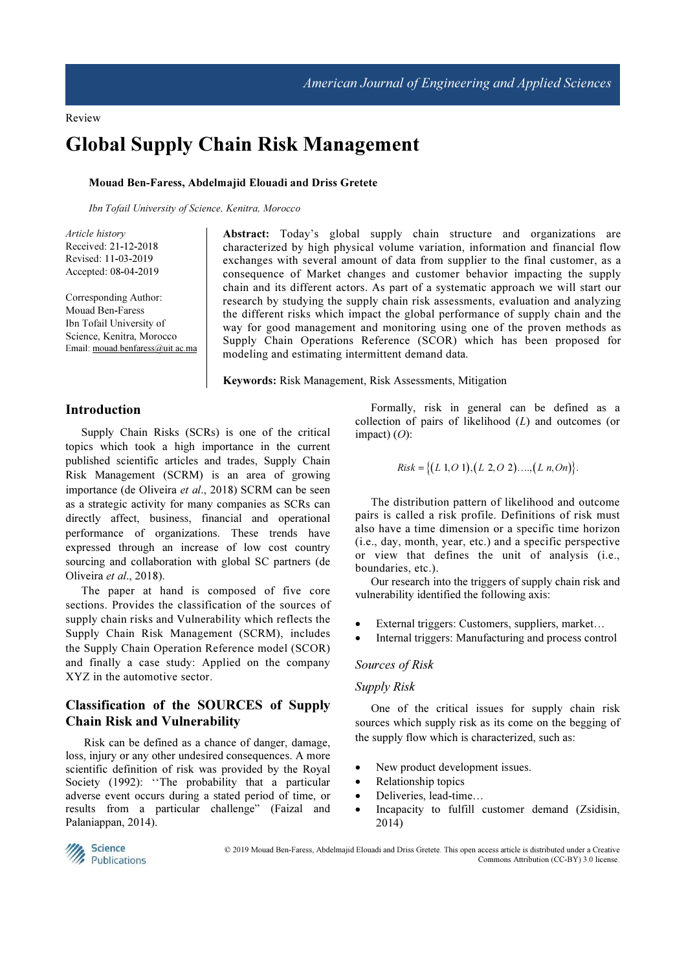# Global Supply Chain Risk Management

#### Mouad Ben-Faress, Abdelmajid Elouadi and Driss Gretete

*Ibn Tofail University of Science, Kenitra, Morocco* 

*Article history*  Received: 21-12-2018 Revised: 11-03-2019 Accepted: 08-04-2019

Corresponding Author: Mouad Ben-Faress Ibn Tofail University of Science, Kenitra, Morocco Email: mouad.benfaress@uit.ac.ma Abstract: Today's global supply chain structure and organizations are characterized by high physical volume variation, information and financial flow exchanges with several amount of data from supplier to the final customer, as a consequence of Market changes and customer behavior impacting the supply chain and its different actors. As part of a systematic approach we will start our research by studying the supply chain risk assessments, evaluation and analyzing the different risks which impact the global performance of supply chain and the way for good management and monitoring using one of the proven methods as Supply Chain Operations Reference (SCOR) which has been proposed for modeling and estimating intermittent demand data.

Keywords: Risk Management, Risk Assessments, Mitigation

## Introduction

Supply Chain Risks (SCRs) is one of the critical topics which took a high importance in the current published scientific articles and trades, Supply Chain Risk Management (SCRM) is an area of growing importance (de Oliveira et al., 2018) SCRM can be seen as a strategic activity for many companies as SCRs can directly affect, business, financial and operational performance of organizations. These trends have expressed through an increase of low cost country sourcing and collaboration with global SC partners (de Oliveira et al., 2018).

The paper at hand is composed of five core sections. Provides the classification of the sources of supply chain risks and Vulnerability which reflects the Supply Chain Risk Management (SCRM), includes the Supply Chain Operation Reference model (SCOR) and finally a case study: Applied on the company XYZ in the automotive sector.

# Classification of the SOURCES of Supply Chain Risk and Vulnerability

 Risk can be defined as a chance of danger, damage, loss, injury or any other undesired consequences. A more scientific definition of risk was provided by the Royal Society (1992): "The probability that a particular adverse event occurs during a stated period of time, or results from a particular challenge" (Faizal and Palaniappan, 2014).

Formally, risk in general can be defined as a collection of pairs of likelihood (L) and outcomes (or impact)  $(O)$ :

*Risk* = {
$$
(L \ 1, O \ 1), (L \ 2, O \ 2) \dots, (L \ n, On)
$$
}

The distribution pattern of likelihood and outcome pairs is called a risk profile. Definitions of risk must also have a time dimension or a specific time horizon (i.e., day, month, year, etc.) and a specific perspective or view that defines the unit of analysis (i.e., boundaries, etc.).

Our research into the triggers of supply chain risk and vulnerability identified the following axis:

- External triggers: Customers, suppliers, market...
- Internal triggers: Manufacturing and process control

#### Sources of Risk

#### Supply Risk

One of the critical issues for supply chain risk sources which supply risk as its come on the begging of the supply flow which is characterized, such as:

- New product development issues.
- Relationship topics
- Deliveries, lead-time...
- Incapacity to fulfill customer demand (Zsidisin, 2014)



 © 2019 Mouad Ben-Faress, Abdelmajid Elouadi and Driss Gretete. This open access article is distributed under a Creative Commons Attribution (CC-BY) 3.0 license.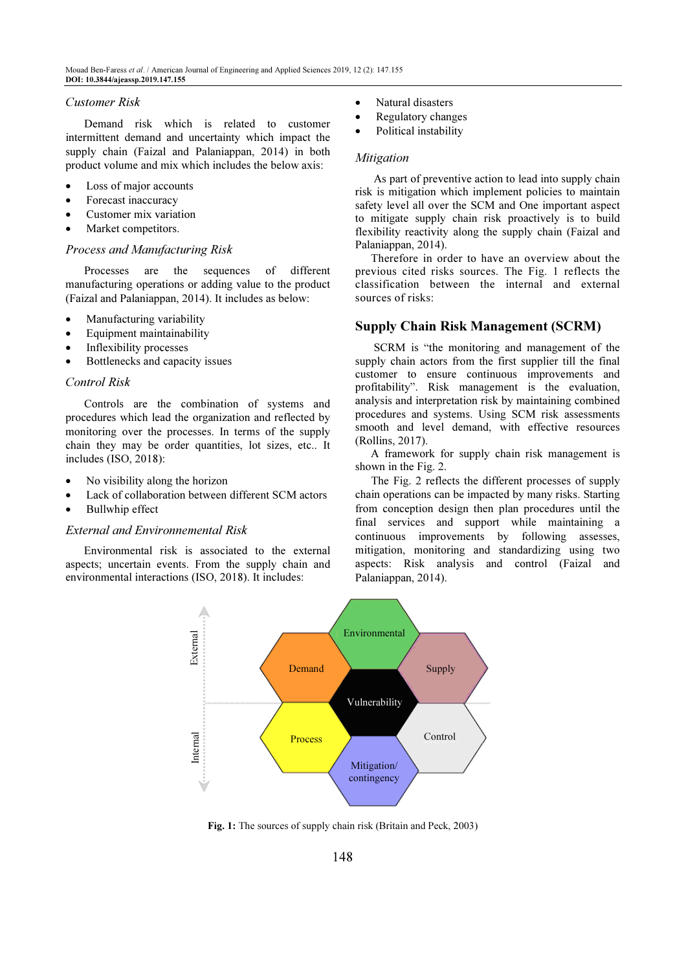#### Customer Risk

 Demand risk which is related to customer intermittent demand and uncertainty which impact the supply chain (Faizal and Palaniappan, 2014) in both product volume and mix which includes the below axis:

- Loss of major accounts
- Forecast inaccuracy
- Customer mix variation
- Market competitors.

## Process and Manufacturing Risk

 Processes are the sequences of different manufacturing operations or adding value to the product (Faizal and Palaniappan, 2014). It includes as below:

- Manufacturing variability
- Equipment maintainability
- Inflexibility processes
- Bottlenecks and capacity issues

#### Control Risk

 Controls are the combination of systems and procedures which lead the organization and reflected by monitoring over the processes. In terms of the supply chain they may be order quantities, lot sizes, etc.. It includes (ISO, 2018):

- No visibility along the horizon
- Lack of collaboration between different SCM actors
- Bullwhip effect

#### External and Environnemental Risk

 Environmental risk is associated to the external aspects; uncertain events. From the supply chain and environmental interactions (ISO, 2018). It includes:

- Natural disasters
- Regulatory changes
- Political instability

## Mitigation

 As part of preventive action to lead into supply chain risk is mitigation which implement policies to maintain safety level all over the SCM and One important aspect to mitigate supply chain risk proactively is to build flexibility reactivity along the supply chain (Faizal and Palaniappan, 2014).

Therefore in order to have an overview about the previous cited risks sources. The Fig. 1 reflects the classification between the internal and external sources of risks:

## Supply Chain Risk Management (SCRM)

 SCRM is "the monitoring and management of the supply chain actors from the first supplier till the final customer to ensure continuous improvements and profitability". Risk management is the evaluation, analysis and interpretation risk by maintaining combined procedures and systems. Using SCM risk assessments smooth and level demand, with effective resources (Rollins, 2017).

A framework for supply chain risk management is shown in the Fig. 2.

The Fig. 2 reflects the different processes of supply chain operations can be impacted by many risks. Starting from conception design then plan procedures until the final services and support while maintaining a continuous improvements by following assesses, mitigation, monitoring and standardizing using two aspects: Risk analysis and control (Faizal and Palaniappan, 2014).



Fig. 1: The sources of supply chain risk (Britain and Peck, 2003)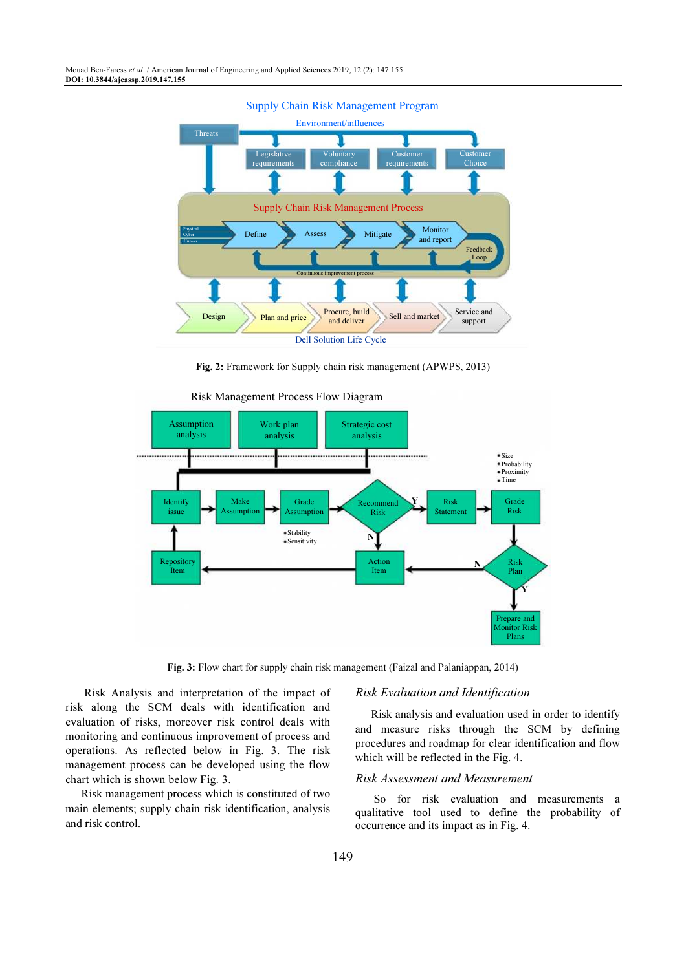

Fig. 2: Framework for Supply chain risk management (APWPS, 2013)



Risk Management Process Flow Diagram

Fig. 3: Flow chart for supply chain risk management (Faizal and Palaniappan, 2014)

 Risk Analysis and interpretation of the impact of risk along the SCM deals with identification and evaluation of risks, moreover risk control deals with monitoring and continuous improvement of process and operations. As reflected below in Fig. 3. The risk management process can be developed using the flow chart which is shown below Fig. 3.

Risk management process which is constituted of two main elements; supply chain risk identification, analysis and risk control.

#### Risk Evaluation and Identification

Risk analysis and evaluation used in order to identify and measure risks through the SCM by defining procedures and roadmap for clear identification and flow which will be reflected in the Fig. 4.

#### Risk Assessment and Measurement

 So for risk evaluation and measurements a qualitative tool used to define the probability of occurrence and its impact as in Fig. 4.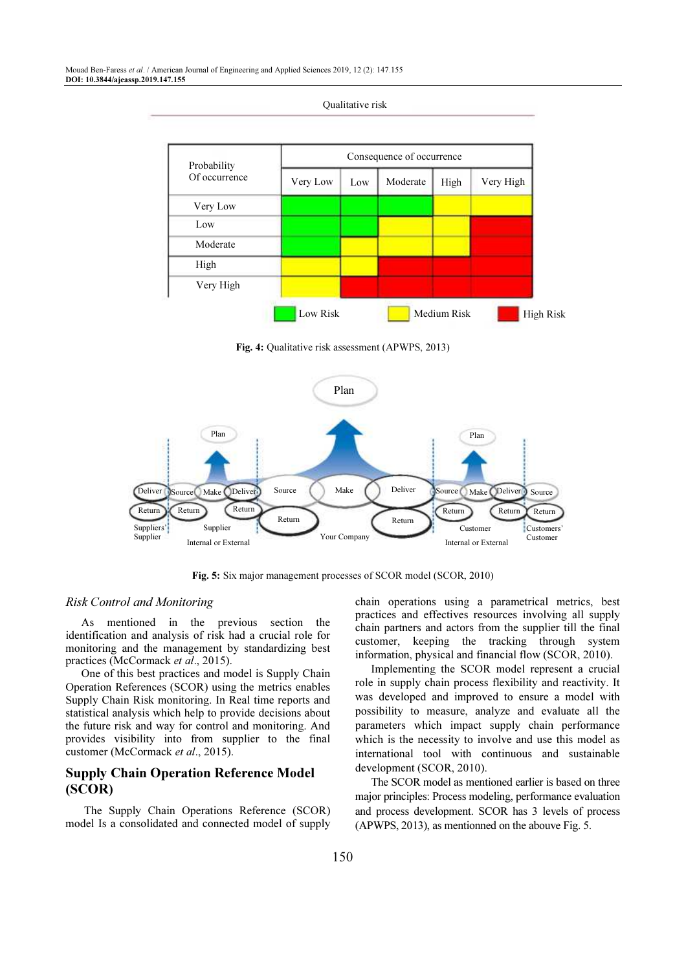Mouad Ben-Faress et al. / American Journal of Engineering and Applied Sciences 2019, 12 (2): 147.155 DOI: 10.3844/ajeassp.2019.147.155



Qualitative risk

Fig. 4: Qualitative risk assessment (APWPS, 2013)



Fig. 5: Six major management processes of SCOR model (SCOR, 2010)

## Risk Control and Monitoring

As mentioned in the previous section the identification and analysis of risk had a crucial role for monitoring and the management by standardizing best practices (McCormack et al., 2015).

One of this best practices and model is Supply Chain Operation References (SCOR) using the metrics enables Supply Chain Risk monitoring. In Real time reports and statistical analysis which help to provide decisions about the future risk and way for control and monitoring. And provides visibility into from supplier to the final customer (McCormack et al., 2015).

# Supply Chain Operation Reference Model (SCOR)

 The Supply Chain Operations Reference (SCOR) model Is a consolidated and connected model of supply chain operations using a parametrical metrics, best practices and effectives resources involving all supply chain partners and actors from the supplier till the final customer, keeping the tracking through system information, physical and financial flow (SCOR, 2010).

Implementing the SCOR model represent a crucial role in supply chain process flexibility and reactivity. It was developed and improved to ensure a model with possibility to measure, analyze and evaluate all the parameters which impact supply chain performance which is the necessity to involve and use this model as international tool with continuous and sustainable development (SCOR, 2010).

The SCOR model as mentioned earlier is based on three major principles: Process modeling, performance evaluation and process development. SCOR has 3 levels of process (APWPS, 2013), as mentionned on the abouve Fig. 5.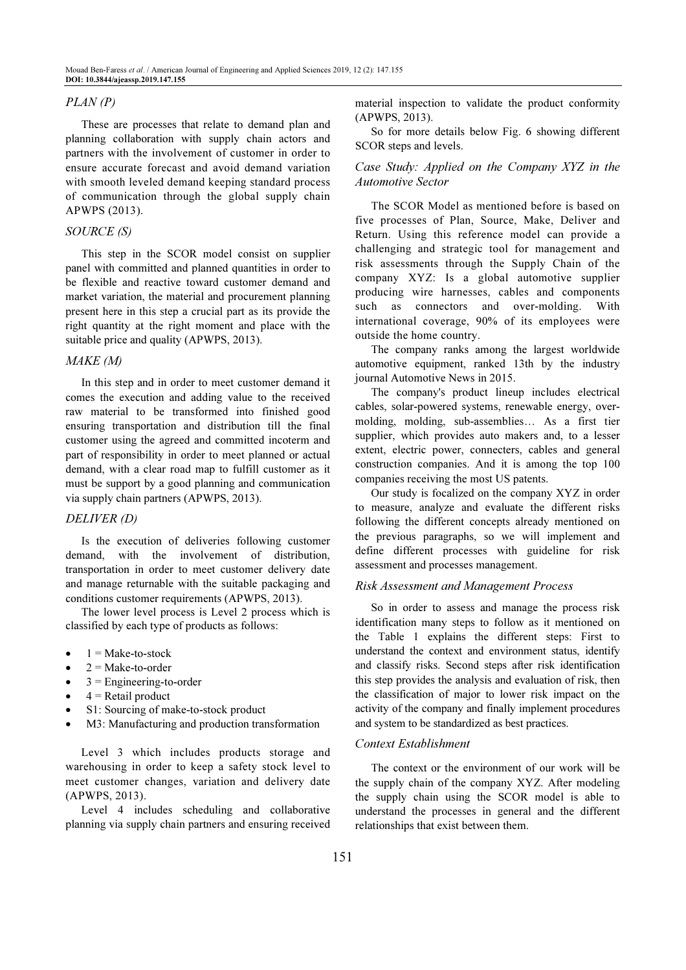## PLAN (P)

These are processes that relate to demand plan and planning collaboration with supply chain actors and partners with the involvement of customer in order to ensure accurate forecast and avoid demand variation with smooth leveled demand keeping standard process of communication through the global supply chain APWPS (2013).

## SOURCE (S)

This step in the SCOR model consist on supplier panel with committed and planned quantities in order to be flexible and reactive toward customer demand and market variation, the material and procurement planning present here in this step a crucial part as its provide the right quantity at the right moment and place with the suitable price and quality (APWPS, 2013).

#### MAKE (M)

In this step and in order to meet customer demand it comes the execution and adding value to the received raw material to be transformed into finished good ensuring transportation and distribution till the final customer using the agreed and committed incoterm and part of responsibility in order to meet planned or actual demand, with a clear road map to fulfill customer as it must be support by a good planning and communication via supply chain partners (APWPS, 2013).

## DELIVER (D)

Is the execution of deliveries following customer demand, with the involvement of distribution, transportation in order to meet customer delivery date and manage returnable with the suitable packaging and conditions customer requirements (APWPS, 2013).

The lower level process is Level 2 process which is classified by each type of products as follows:

- $1 = Make-to-stock$
- $2 = Make-to-order$
- $3$  = Engineering-to-order
- $4$  = Retail product
- S1: Sourcing of make-to-stock product
- M3: Manufacturing and production transformation

Level 3 which includes products storage and warehousing in order to keep a safety stock level to meet customer changes, variation and delivery date (APWPS, 2013).

Level 4 includes scheduling and collaborative planning via supply chain partners and ensuring received material inspection to validate the product conformity (APWPS, 2013).

So for more details below Fig. 6 showing different SCOR steps and levels.

## Case Study: Applied on the Company XYZ in the Automotive Sector

The SCOR Model as mentioned before is based on five processes of Plan, Source, Make, Deliver and Return. Using this reference model can provide a challenging and strategic tool for management and risk assessments through the Supply Chain of the company XYZ: Is a global automotive supplier producing wire harnesses, cables and components such as connectors and over-molding. With international coverage, 90% of its employees were outside the home country.

The company ranks among the largest worldwide automotive equipment, ranked 13th by the industry journal Automotive News in 2015.

The company's product lineup includes electrical cables, solar-powered systems, renewable energy, overmolding, molding, sub-assemblies… As a first tier supplier, which provides auto makers and, to a lesser extent, electric power, connecters, cables and general construction companies. And it is among the top 100 companies receiving the most US patents.

Our study is focalized on the company XYZ in order to measure, analyze and evaluate the different risks following the different concepts already mentioned on the previous paragraphs, so we will implement and define different processes with guideline for risk assessment and processes management.

## Risk Assessment and Management Process

So in order to assess and manage the process risk identification many steps to follow as it mentioned on the Table 1 explains the different steps: First to understand the context and environment status, identify and classify risks. Second steps after risk identification this step provides the analysis and evaluation of risk, then the classification of major to lower risk impact on the activity of the company and finally implement procedures and system to be standardized as best practices.

#### Context Establishment

The context or the environment of our work will be the supply chain of the company XYZ. After modeling the supply chain using the SCOR model is able to understand the processes in general and the different relationships that exist between them.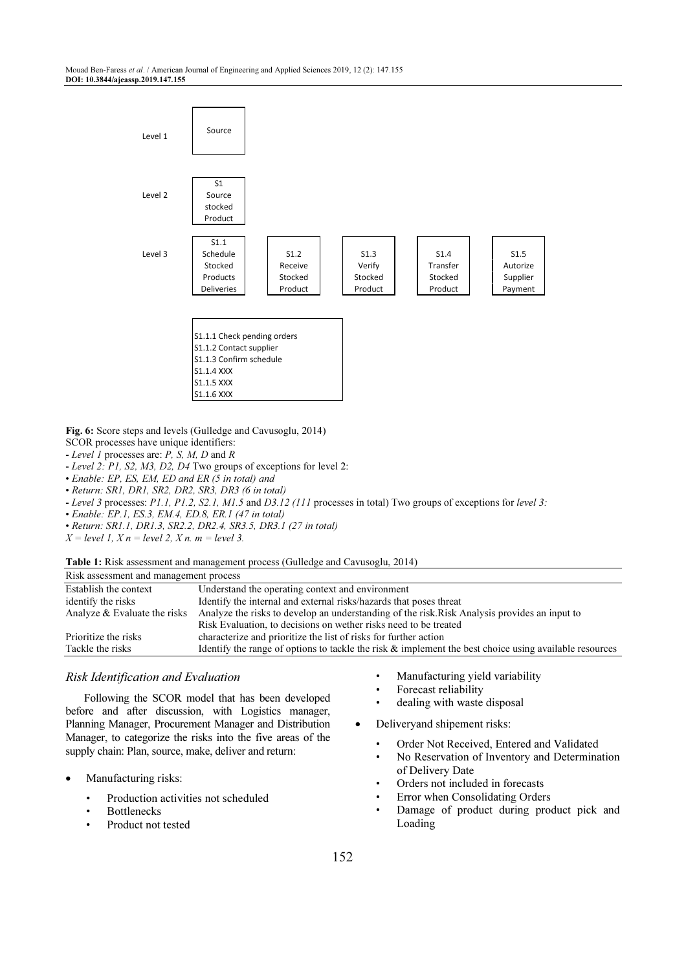

Fig. 6: Score steps and levels (Gulledge and Cavusoglu, 2014)

- SCOR processes have unique identifiers:
- *Level 1* processes are: *P, S, M, D* and *R*
- *Level 2: P1, S2, M3, D2, D4* Two groups of exceptions for level 2:
- *Enable: EP, ES, EM, ED and ER (5 in total) and*
- *Return: SR1, DR1, SR2, DR2, SR3, DR3 (6 in total)*
- *Level 3* processes: *P1.1, P1.2, S2.1, M1.5* and *D3.12 (111* processes in total) Two groups of exceptions for *level 3:*
- *Enable: EP.1, ES.3, EM.4, ED.8, ER.1 (47 in total)*
- *Return: SR1.1, DR1.3, SR2.2, DR2.4, SR3.5, DR3.1 (27 in total)*
- *X = level 1, X n = level 2, X n. m = level 3.*

## Table 1: Risk assessment and management process (Gulledge and Cavusoglu, 2014)

| Establish the context<br>Understand the operating context and environment                                                     |  |
|-------------------------------------------------------------------------------------------------------------------------------|--|
| Identify the internal and external risks/hazards that poses threat<br>identify the risks                                      |  |
| Analyze the risks to develop an understanding of the risk. Risk Analysis provides an input to<br>Analyze & Evaluate the risks |  |
| Risk Evaluation, to decisions on wether risks need to be treated                                                              |  |
| characterize and prioritize the list of risks for further action<br>Prioritize the risks                                      |  |
| Identify the range of options to tackle the risk $\&$ implement the best choice using available resources<br>Tackle the risks |  |

## Risk Identification and Evaluation

 Following the SCOR model that has been developed before and after discussion, with Logistics manager, Planning Manager, Procurement Manager and Distribution Manager, to categorize the risks into the five areas of the supply chain: Plan, source, make, deliver and return:

- Manufacturing risks:
	- Production activities not scheduled
	- **Bottlenecks**
	- Product not tested
- Manufacturing yield variability
- Forecast reliability
- dealing with waste disposal
- Deliveryand shipement risks:
	- Order Not Received, Entered and Validated
	- No Reservation of Inventory and Determination of Delivery Date
	- Orders not included in forecasts
	- Error when Consolidating Orders
	- Damage of product during product pick and Loading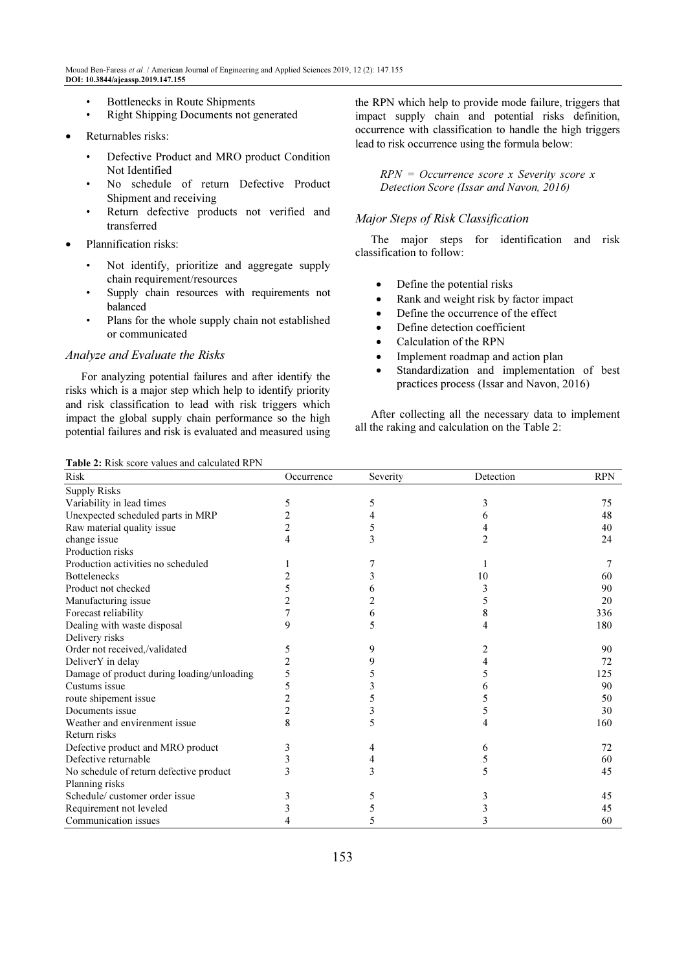- Bottlenecks in Route Shipments
- Right Shipping Documents not generated
- Returnables risks:
	- Defective Product and MRO product Condition Not Identified
	- No schedule of return Defective Product Shipment and receiving
	- Return defective products not verified and transferred
- Plannification risks:
	- Not identify, prioritize and aggregate supply chain requirement/resources
	- Supply chain resources with requirements not balanced
	- Plans for the whole supply chain not established or communicated

#### Analyze and Evaluate the Risks

For analyzing potential failures and after identify the risks which is a major step which help to identify priority and risk classification to lead with risk triggers which impact the global supply chain performance so the high potential failures and risk is evaluated and measured using the RPN which help to provide mode failure, triggers that impact supply chain and potential risks definition, occurrence with classification to handle the high triggers lead to risk occurrence using the formula below:

 $RPN = Occurrence score x$  Severity score x Detection Score (Issar and Navon, 2016)

## Major Steps of Risk Classification

The major steps for identification and risk classification to follow:

- Define the potential risks
- Rank and weight risk by factor impact
- Define the occurrence of the effect
- Define detection coefficient
- Calculation of the RPN
- Implement roadmap and action plan
- Standardization and implementation of best practices process (Issar and Navon, 2016)

After collecting all the necessary data to implement all the raking and calculation on the Table 2:

|  |  |  | <b>Table 2:</b> Risk score values and calculated RPN |
|--|--|--|------------------------------------------------------|
|--|--|--|------------------------------------------------------|

| <b>Risk</b>                                | Occurrence     | Severity | Detection | <b>RPN</b> |
|--------------------------------------------|----------------|----------|-----------|------------|
| <b>Supply Risks</b>                        |                |          |           |            |
| Variability in lead times                  | 5              | 5        | 3         | 75         |
| Unexpected scheduled parts in MRP          |                |          | 6         | 48         |
| Raw material quality issue                 | $\overline{c}$ |          |           | 40         |
| change issue                               | 4              | 3        |           | 24         |
| Production risks                           |                |          |           |            |
| Production activities no scheduled         |                |          |           |            |
| <b>Bottelenecks</b>                        |                |          | 10        | 60         |
| Product not checked                        |                |          |           | 90         |
| Manufacturing issue                        |                |          |           | 20         |
| Forecast reliability                       |                |          | 8         | 336        |
| Dealing with waste disposal                | 9              | 5        |           | 180        |
| Delivery risks                             |                |          |           |            |
| Order not received,/validated              |                | 9        |           | 90         |
| DeliverY in delay                          |                |          |           | 72         |
| Damage of product during loading/unloading |                |          |           | 125        |
| Custums issue                              | 5              |          |           | 90         |
| route shipement issue                      | $\overline{c}$ |          |           | 50         |
| Documents issue                            | $\overline{c}$ |          |           | 30         |
| Weather and envirenment issue              | 8              | 5        |           | 160        |
| Return risks                               |                |          |           |            |
| Defective product and MRO product          |                |          | 6         | 72         |
| Defective returnable                       |                |          |           | 60         |
| No schedule of return defective product    |                |          |           | 45         |
| Planning risks                             |                |          |           |            |
| Schedule/customer order issue              |                | 5        |           | 45         |
| Requirement not leveled                    |                |          |           | 45         |
| Communication issues                       |                |          |           | 60         |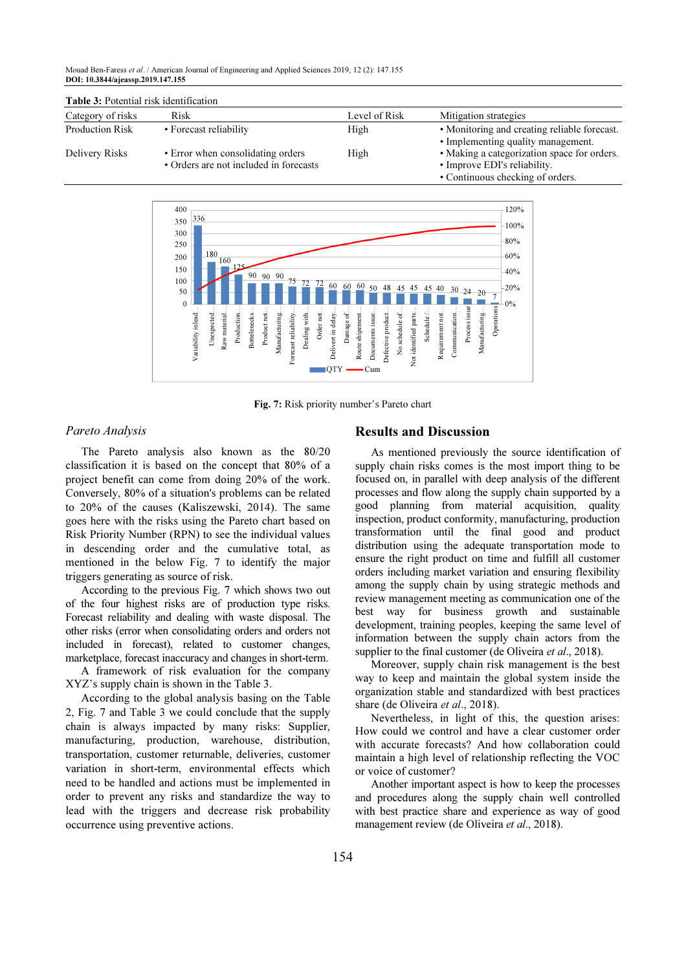Mouad Ben-Faress et al. / American Journal of Engineering and Applied Sciences 2019, 12 (2): 147.155 DOI: 10.3844/ajeassp.2019.147.155

| Category of risks      | <b>Risk</b>                                                                 | Level of Risk | Mitigation strategies                                                                                           |
|------------------------|-----------------------------------------------------------------------------|---------------|-----------------------------------------------------------------------------------------------------------------|
| <b>Production Risk</b> | • Forecast reliability                                                      | High          | • Monitoring and creating reliable forecast.<br>• Implementing quality management.                              |
| Delivery Risks         | • Error when consolidating orders<br>• Orders are not included in forecasts | High          | • Making a categorization space for orders.<br>• Improve EDI's reliability.<br>• Continuous checking of orders. |



Fig. 7: Risk priority number's Pareto chart

### Pareto Analysis

The Pareto analysis also known as the 80/20 classification it is based on the concept that 80% of a project benefit can come from doing 20% of the work. Conversely, 80% of a situation's problems can be related to 20% of the causes (Kaliszewski, 2014). The same goes here with the risks using the Pareto chart based on Risk Priority Number (RPN) to see the individual values in descending order and the cumulative total, as mentioned in the below Fig. 7 to identify the major triggers generating as source of risk.

According to the previous Fig. 7 which shows two out of the four highest risks are of production type risks. Forecast reliability and dealing with waste disposal. The other risks (error when consolidating orders and orders not included in forecast), related to customer changes, marketplace, forecast inaccuracy and changes in short-term.

A framework of risk evaluation for the company XYZ's supply chain is shown in the Table 3.

According to the global analysis basing on the Table 2, Fig. 7 and Table 3 we could conclude that the supply chain is always impacted by many risks: Supplier, manufacturing, production, warehouse, distribution, transportation, customer returnable, deliveries, customer variation in short-term, environmental effects which need to be handled and actions must be implemented in order to prevent any risks and standardize the way to lead with the triggers and decrease risk probability occurrence using preventive actions.

#### Results and Discussion

As mentioned previously the source identification of supply chain risks comes is the most import thing to be focused on, in parallel with deep analysis of the different processes and flow along the supply chain supported by a good planning from material acquisition, quality inspection, product conformity, manufacturing, production transformation until the final good and product distribution using the adequate transportation mode to ensure the right product on time and fulfill all customer orders including market variation and ensuring flexibility among the supply chain by using strategic methods and review management meeting as communication one of the best way for business growth and sustainable development, training peoples, keeping the same level of information between the supply chain actors from the supplier to the final customer (de Oliveira et al., 2018).

Moreover, supply chain risk management is the best way to keep and maintain the global system inside the organization stable and standardized with best practices share (de Oliveira et al., 2018).

Nevertheless, in light of this, the question arises: How could we control and have a clear customer order with accurate forecasts? And how collaboration could maintain a high level of relationship reflecting the VOC or voice of customer?

Another important aspect is how to keep the processes and procedures along the supply chain well controlled with best practice share and experience as way of good management review (de Oliveira et al., 2018).